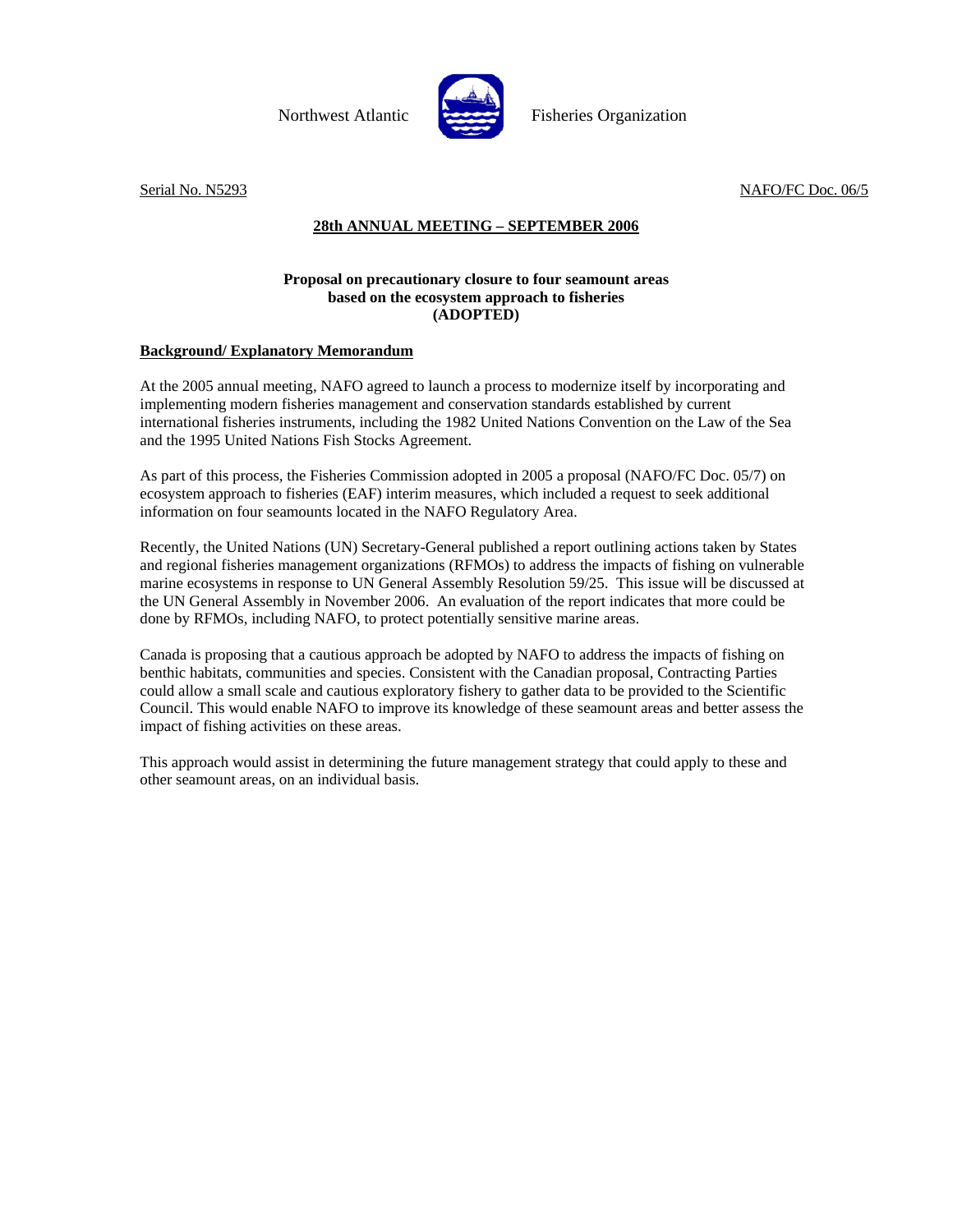

Northwest Atlantic Fisheries Organization

Serial No. N5293 NAFO/FC Doc. 06/5

## **28th ANNUAL MEETING – SEPTEMBER 2006**

## **Proposal on precautionary closure to four seamount areas based on the ecosystem approach to fisheries (ADOPTED)**

## **Background/ Explanatory Memorandum**

At the 2005 annual meeting, NAFO agreed to launch a process to modernize itself by incorporating and implementing modern fisheries management and conservation standards established by current international fisheries instruments, including the 1982 United Nations Convention on the Law of the Sea and the 1995 United Nations Fish Stocks Agreement.

As part of this process, the Fisheries Commission adopted in 2005 a proposal (NAFO/FC Doc. 05/7) on ecosystem approach to fisheries (EAF) interim measures, which included a request to seek additional information on four seamounts located in the NAFO Regulatory Area.

Recently, the United Nations (UN) Secretary-General published a report outlining actions taken by States and regional fisheries management organizations (RFMOs) to address the impacts of fishing on vulnerable marine ecosystems in response to UN General Assembly Resolution 59/25. This issue will be discussed at the UN General Assembly in November 2006. An evaluation of the report indicates that more could be done by RFMOs, including NAFO, to protect potentially sensitive marine areas.

Canada is proposing that a cautious approach be adopted by NAFO to address the impacts of fishing on benthic habitats, communities and species. Consistent with the Canadian proposal, Contracting Parties could allow a small scale and cautious exploratory fishery to gather data to be provided to the Scientific Council. This would enable NAFO to improve its knowledge of these seamount areas and better assess the impact of fishing activities on these areas.

This approach would assist in determining the future management strategy that could apply to these and other seamount areas, on an individual basis.